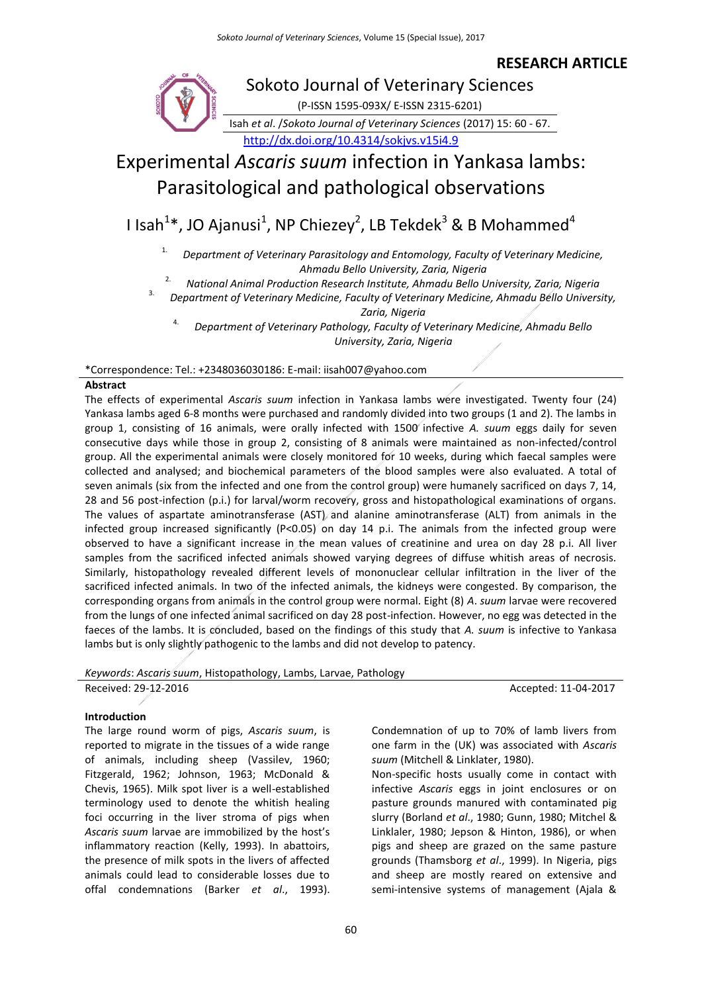# **RESEARCH ARTICLE**



*Keywords*: *Ascaris suum*, Histopathology, Lambs, Larvae, Pathology

lambs but is only slightly pathogenic to the lambs and did not develop to patency.

Received: 29-12-2016 **Accepted: 11-04-2017** 

# **Introduction**

The large round worm of pigs, *Ascaris suum*, is reported to migrate in the tissues of a wide range of animals, including sheep (Vassilev, 1960; Fitzgerald, 1962; Johnson, 1963; McDonald & Chevis, 1965). Milk spot liver is a well-established terminology used to denote the whitish healing foci occurring in the liver stroma of pigs when *Ascaris suum* larvae are immobilized by the host's inflammatory reaction (Kelly, 1993). In abattoirs, the presence of milk spots in the livers of affected animals could lead to considerable losses due to offal condemnations (Barker *et al*., 1993). Condemnation of up to 70% of lamb livers from one farm in the (UK) was associated with *Ascaris suum* (Mitchell & Linklater, 1980).

Non-specific hosts usually come in contact with infective *Ascaris* eggs in joint enclosures or on pasture grounds manured with contaminated pig slurry (Borland *et al*., 1980; Gunn, 1980; Mitchel & Linklaler, 1980; Jepson & Hinton, 1986), or when pigs and sheep are grazed on the same pasture grounds (Thamsborg *et al*., 1999). In Nigeria, pigs and sheep are mostly reared on extensive and semi-intensive systems of management (Ajala &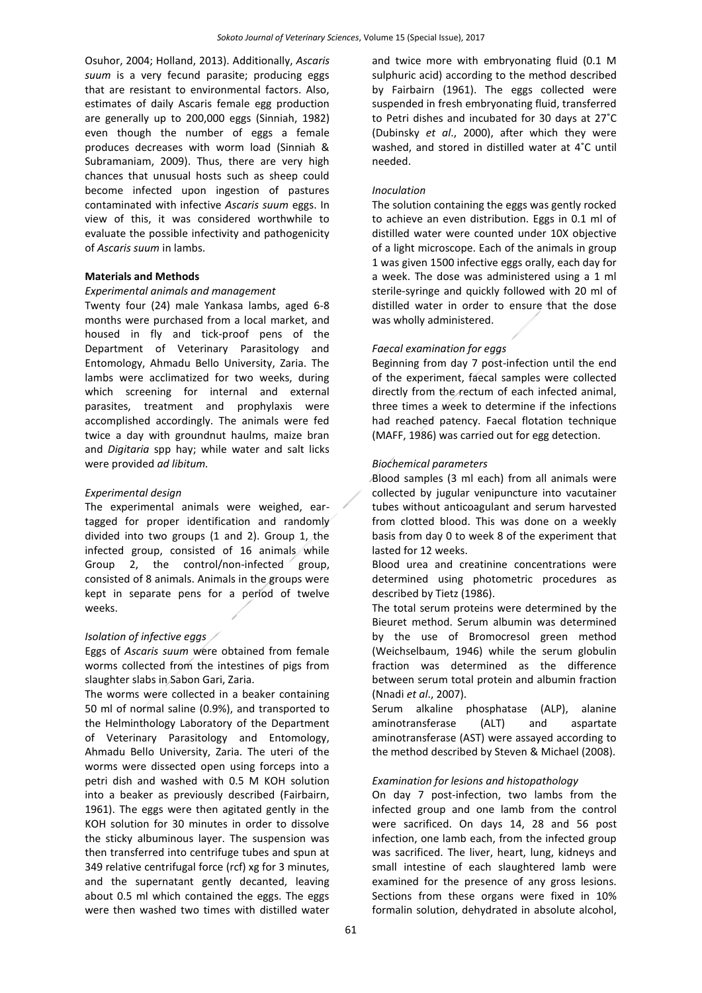Osuhor, 2004; Holland, 2013). Additionally, *Ascaris suum* is a very fecund parasite; producing eggs that are resistant to environmental factors. Also, estimates of daily Ascaris female egg production are generally up to 200,000 eggs (Sinniah, 1982) even though the number of eggs a female produces decreases with worm load (Sinniah & Subramaniam, 2009). Thus, there are very high chances that unusual hosts such as sheep could become infected upon ingestion of pastures contaminated with infective *Ascaris suum* eggs. In view of this, it was considered worthwhile to evaluate the possible infectivity and pathogenicity of *Ascaris suum* in lambs.

## **Materials and Methods**

## *Experimental animals and management*

Twenty four (24) male Yankasa lambs, aged 6-8 months were purchased from a local market, and housed in fly and tick-proof pens of the Department of Veterinary Parasitology and Entomology, Ahmadu Bello University, Zaria. The lambs were acclimatized for two weeks, during which screening for internal and external parasites, treatment and prophylaxis were accomplished accordingly. The animals were fed twice a day with groundnut haulms, maize bran and *Digitaria* spp hay; while water and salt licks were provided *ad libitum.*

### *Experimental design*

The experimental animals were weighed, eartagged for proper identification and randomly divided into two groups (1 and 2). Group 1, the infected group, consisted of 16 animals while Group 2, the control/non-infected group, consisted of 8 animals. Animals in the groups were kept in separate pens for a period of twelve weeks.

## *Isolation of infective eggs*

Eggs of *Ascaris suum* were obtained from female worms collected from the intestines of pigs from slaughter slabs in Sabon Gari, Zaria.

The worms were collected in a beaker containing 50 ml of normal saline (0.9%), and transported to the Helminthology Laboratory of the Department of Veterinary Parasitology and Entomology, Ahmadu Bello University, Zaria. The uteri of the worms were dissected open using forceps into a petri dish and washed with 0.5 M KOH solution into a beaker as previously described (Fairbairn, 1961). The eggs were then agitated gently in the KOH solution for 30 minutes in order to dissolve the sticky albuminous layer. The suspension was then transferred into centrifuge tubes and spun at 349 relative centrifugal force (rcf) xg for 3 minutes, and the supernatant gently decanted, leaving about 0.5 ml which contained the eggs. The eggs were then washed two times with distilled water

and twice more with embryonating fluid (0.1 M sulphuric acid) according to the method described by Fairbairn (1961). The eggs collected were suspended in fresh embryonating fluid, transferred to Petri dishes and incubated for 30 days at 27˚C (Dubinsky *et al*., 2000), after which they were washed, and stored in distilled water at 4˚C until needed.

#### *Inoculation*

The solution containing the eggs was gently rocked to achieve an even distribution. Eggs in 0.1 ml of distilled water were counted under 10X objective of a light microscope. Each of the animals in group 1 was given 1500 infective eggs orally, each day for a week. The dose was administered using a 1 ml sterile-syringe and quickly followed with 20 ml of distilled water in order to ensure that the dose was wholly administered.

## *Faecal examination for eggs*

Beginning from day 7 post-infection until the end of the experiment, faecal samples were collected directly from the rectum of each infected animal, three times a week to determine if the infections had reached patency. Faecal flotation technique (MAFF, 1986) was carried out for egg detection.

## *Biochemical parameters*

Blood samples (3 ml each) from all animals were collected by jugular venipuncture into vacutainer tubes without anticoagulant and serum harvested from clotted blood. This was done on a weekly basis from day 0 to week 8 of the experiment that lasted for 12 weeks.

Blood urea and creatinine concentrations were determined using photometric procedures as described by Tietz (1986).

The total serum proteins were determined by the Bieuret method. Serum albumin was determined by the use of Bromocresol green method (Weichselbaum, 1946) while the serum globulin fraction was determined as the difference between serum total protein and albumin fraction (Nnadi *et al*., 2007).

Serum alkaline phosphatase (ALP), alanine aminotransferase (ALT) and aspartate aminotransferase (AST) were assayed according to the method described by Steven & Michael (2008).

#### *Examination for lesions and histopathology*

On day 7 post-infection, two lambs from the infected group and one lamb from the control were sacrificed. On days 14, 28 and 56 post infection, one lamb each, from the infected group was sacrificed. The liver, heart, lung, kidneys and small intestine of each slaughtered lamb were examined for the presence of any gross lesions. Sections from these organs were fixed in 10% formalin solution, dehydrated in absolute alcohol,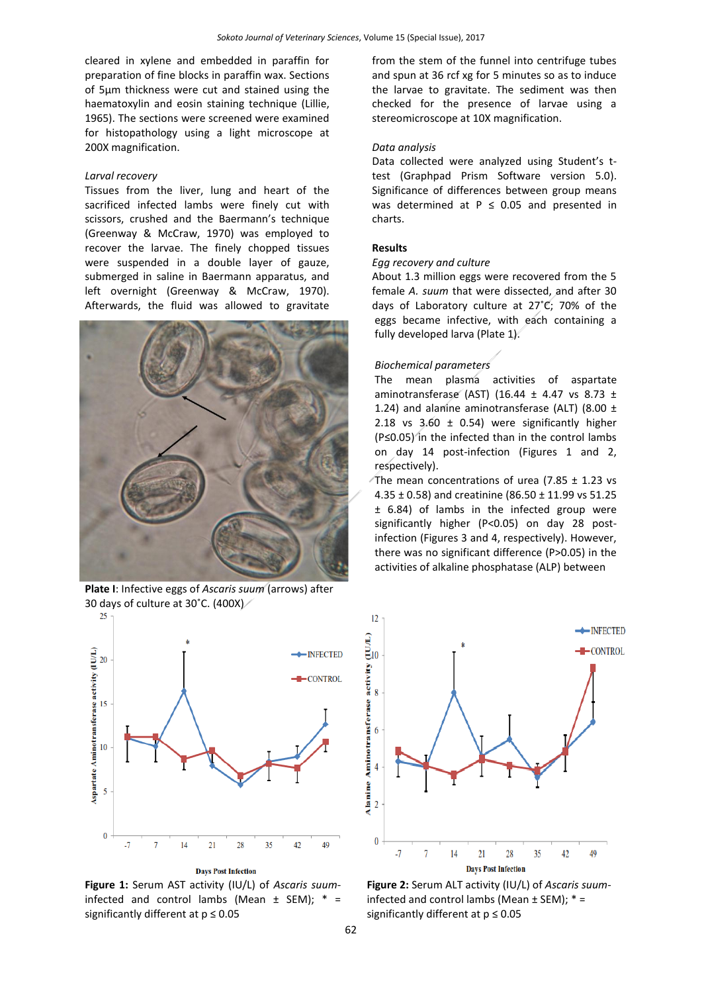cleared in xylene and embedded in paraffin for preparation of fine blocks in paraffin wax. Sections of 5µm thickness were cut and stained using the haematoxylin and eosin staining technique (Lillie, 1965). The sections were screened were examined for histopathology using a light microscope at 200X magnification.

#### *Larval recovery*

Tissues from the liver, lung and heart of the sacrificed infected lambs were finely cut with scissors, crushed and the Baermann's technique (Greenway & McCraw, 1970) was employed to recover the larvae. The finely chopped tissues were suspended in a double layer of gauze, submerged in saline in Baermann apparatus, and left overnight (Greenway & McCraw, 1970). Afterwards, the fluid was allowed to gravitate



 **Plate I**: Infective eggs of *Ascaris suum* (arrows) after 30 days of culture at 30°C. (400X)



**Days Post Infection** 

**Figure 1:** Serum AST activity (IU/L) of *Ascaris suum*infected and control lambs (Mean  $\pm$  SEM);  $* =$ significantly different at  $p \leq 0.05$ 

from the stem of the funnel into centrifuge tubes and spun at 36 rcf xg for 5 minutes so as to induce the larvae to gravitate. The sediment was then checked for the presence of larvae using a stereomicroscope at 10X magnification.

# *Data analysis*

Data collected were analyzed using Student's ttest (Graphpad Prism Software version 5.0). Significance of differences between group means was determined at  $P \le 0.05$  and presented in charts.

## **Results**

### *Egg recovery and culture*

About 1.3 million eggs were recovered from the 5 female *A. suum* that were dissected, and after 30 days of Laboratory culture at 27˚C; 70% of the eggs became infective, with each containing a fully developed larva (Plate 1).

#### *Biochemical parameters*

The mean plasma activities of aspartate aminotransferase (AST) (16.44  $\pm$  4.47 vs 8.73  $\pm$ 1.24) and alanine aminotransferase (ALT) (8.00  $\pm$ 2.18 vs  $3.60 \pm 0.54$ ) were significantly higher (P≤0.05) in the infected than in the control lambs on day 14 post-infection (Figures 1 and 2, respectively).

The mean concentrations of urea (7.85  $\pm$  1.23 vs 4.35  $\pm$  0.58) and creatinine (86.50  $\pm$  11.99 vs 51.25 ± 6.84) of lambs in the infected group were significantly higher (P<0.05) on day 28 postinfection (Figures 3 and 4, respectively). However, there was no significant difference (P>0.05) in the activities of alkaline phosphatase (ALP) between



**Figure 2:** Serum ALT activity (IU/L) of *Ascaris suum*infected and control lambs (Mean  $\pm$  SEM);  $* =$ significantly different at  $p \le 0.05$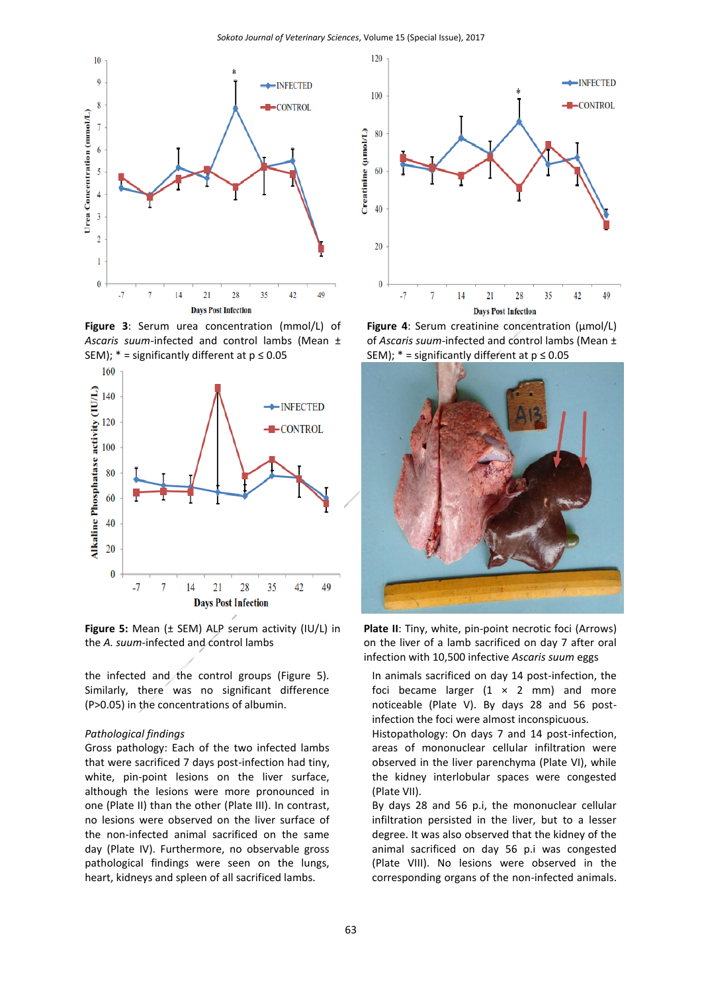

**Figure 3**: Serum urea concentration (mmol/L) of *Ascaris suum-*infected and control lambs (Mean ± SEM);  $* =$  significantly different at  $p \le 0.05$ 



**Figure 5:** Mean (± SEM) ALP serum activity (IU/L) in the *A. suum-*infected and control lambs

the infected and the control groups (Figure 5). Similarly, there was no significant difference (P>0.05) in the concentrations of albumin.

### *Pathological findings*

Gross pathology: Each of the two infected lambs that were sacrificed 7 days post-infection had tiny, white, pin-point lesions on the liver surface, although the lesions were more pronounced in one (Plate II) than the other (Plate III). In contrast, no lesions were observed on the liver surface of the non-infected animal sacrificed on the same day (Plate IV). Furthermore, no observable gross pathological findings were seen on the lungs, heart, kidneys and spleen of all sacrificed lambs.



**Figure 4**: Serum creatinine concentration (µmol/L) of *Ascaris suum-*infected and control lambs (Mean ± SEM);  $* =$  significantly different at  $p \le 0.05$ 



**Plate II**: Tiny, white, pin-point necrotic foci (Arrows) on the liver of a lamb sacrificed on day 7 after oral infection with 10,500 infective *Ascaris suum* eggs

In animals sacrificed on day 14 post-infection, the foci became larger  $(1 \times 2 \text{ mm})$  and more noticeable (Plate V). By days 28 and 56 postinfection the foci were almost inconspicuous.

Histopathology: On days 7 and 14 post-infection, areas of mononuclear cellular infiltration were observed in the liver parenchyma (Plate VI), while the kidney interlobular spaces were congested (Plate VII).

By days 28 and 56 p.i, the mononuclear cellular infiltration persisted in the liver, but to a lesser degree. It was also observed that the kidney of the animal sacrificed on day 56 p.i was congested (Plate VIII). No lesions were observed in the corresponding organs of the non-infected animals.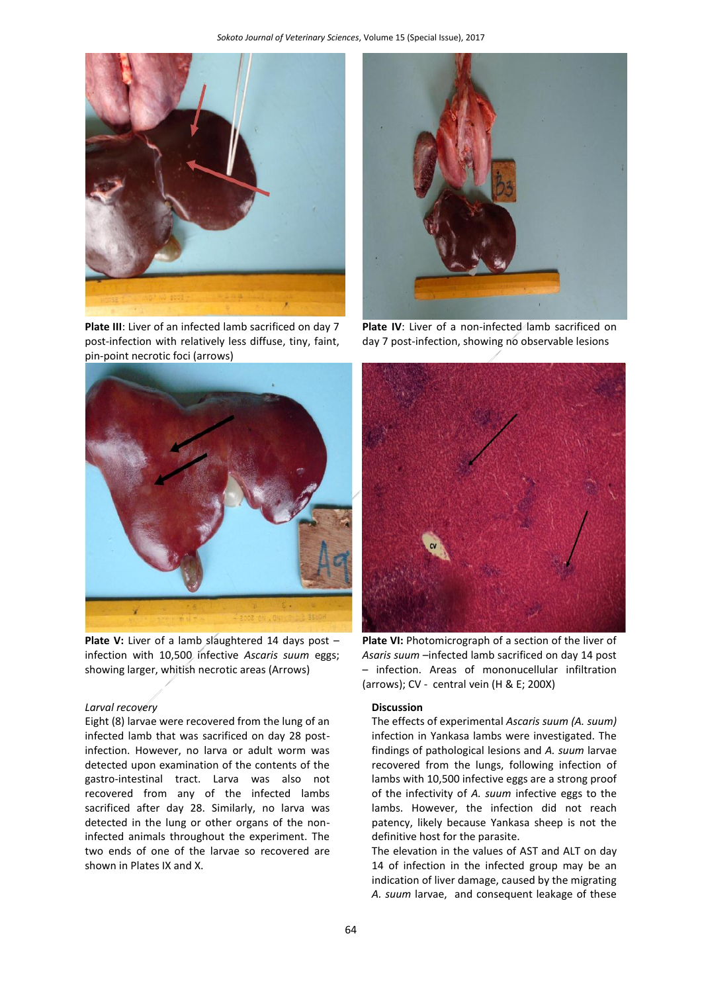

**Plate III**: Liver of an infected lamb sacrificed on day 7 post-infection with relatively less diffuse, tiny, faint, pin-point necrotic foci (arrows)



Plate V: Liver of a lamb slaughtered 14 days post infection with 10,500 infective *Ascaris suum* eggs; showing larger, whitish necrotic areas (Arrows)

# *Larval recovery*

Eight (8) larvae were recovered from the lung of an infected lamb that was sacrificed on day 28 postinfection. However, no larva or adult worm was detected upon examination of the contents of the gastro-intestinal tract. Larva was also not recovered from any of the infected lambs sacrificed after day 28. Similarly, no larva was detected in the lung or other organs of the noninfected animals throughout the experiment. The two ends of one of the larvae so recovered are shown in Plates IX and X.



**Plate IV:** Liver of a non-infected lamb sacrificed on day 7 post-infection, showing no observable lesions



Plate VI: Photomicrograph of a section of the liver of *Asaris suum* –infected lamb sacrificed on day 14 post – infection. Areas of mononucellular infiltration (arrows); CV - central vein (H & E; 200X)

## **Discussion**

The effects of experimental *Ascaris suum (A. suum)* infection in Yankasa lambs were investigated. The findings of pathological lesions and *A. suum* larvae recovered from the lungs, following infection of lambs with 10,500 infective eggs are a strong proof of the infectivity of *A. suum* infective eggs to the lambs. However, the infection did not reach patency, likely because Yankasa sheep is not the definitive host for the parasite.

The elevation in the values of AST and ALT on day 14 of infection in the infected group may be an indication of liver damage, caused by the migrating *A. suum* larvae, and consequent leakage of these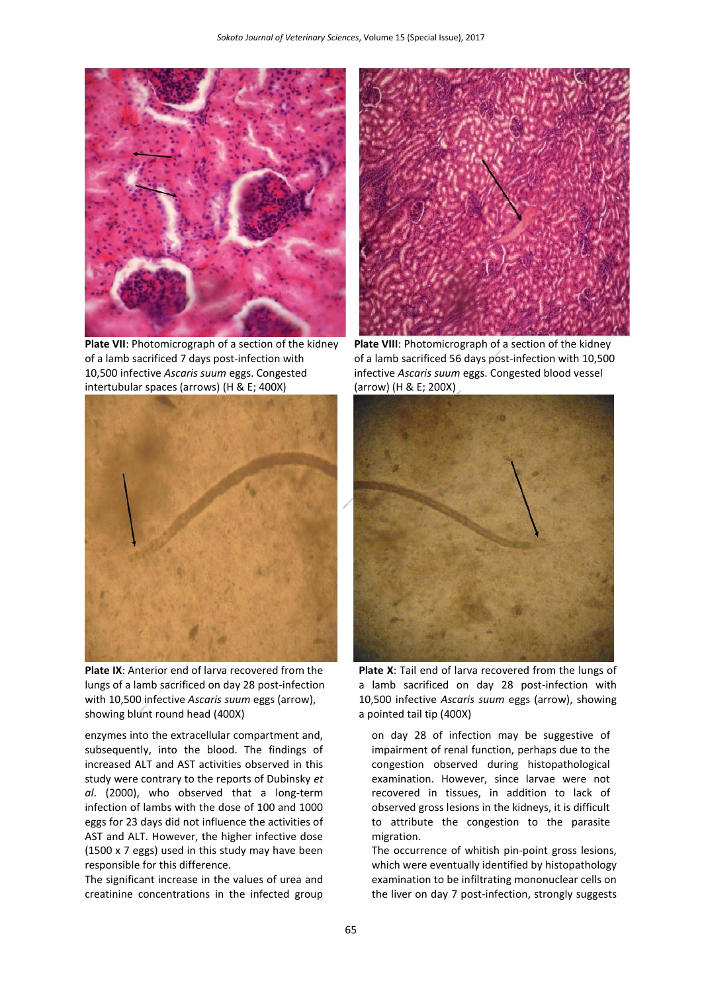

**Plate VII**: Photomicrograph of a section of the kidney of a lamb sacrificed 7 days post-infection with 10,500 infective *Ascaris suum* eggs. Congested intertubular spaces (arrows) (H & E; 400X)



**Plate IX**: Anterior end of larva recovered from the lungs of a lamb sacrificed on day 28 post-infection with 10,500 infective *Ascaris suum* eggs (arrow), showing blunt round head (400X)

enzymes into the extracellular compartment and, subsequently, into the blood. The findings of increased ALT and AST activities observed in this study were contrary to the reports of Dubinsky *et al*. (2000), who observed that a long-term infection of lambs with the dose of 100 and 1000 eggs for 23 days did not influence the activities of AST and ALT. However, the higher infective dose (1500 x 7 eggs) used in this study may have been responsible for this difference.

The significant increase in the values of urea and creatinine concentrations in the infected group



**Plate VIII**: Photomicrograph of a section of the kidney of a lamb sacrificed 56 days post-infection with 10,500 infective *Ascaris suum* eggs. Congested blood vessel (arrow) (H & E; 200X)



**Plate X**: Tail end of larva recovered from the lungs of a lamb sacrificed on day 28 post-infection with 10,500 infective *Ascaris suum* eggs (arrow), showing a pointed tail tip (400X)

on day 28 of infection may be suggestive of impairment of renal function, perhaps due to the congestion observed during histopathological examination. However, since larvae were not recovered in tissues, in addition to lack of observed gross lesions in the kidneys, it is difficult to attribute the congestion to the parasite migration.

The occurrence of whitish pin-point gross lesions, which were eventually identified by histopathology examination to be infiltrating mononuclear cells on the liver on day 7 post-infection, strongly suggests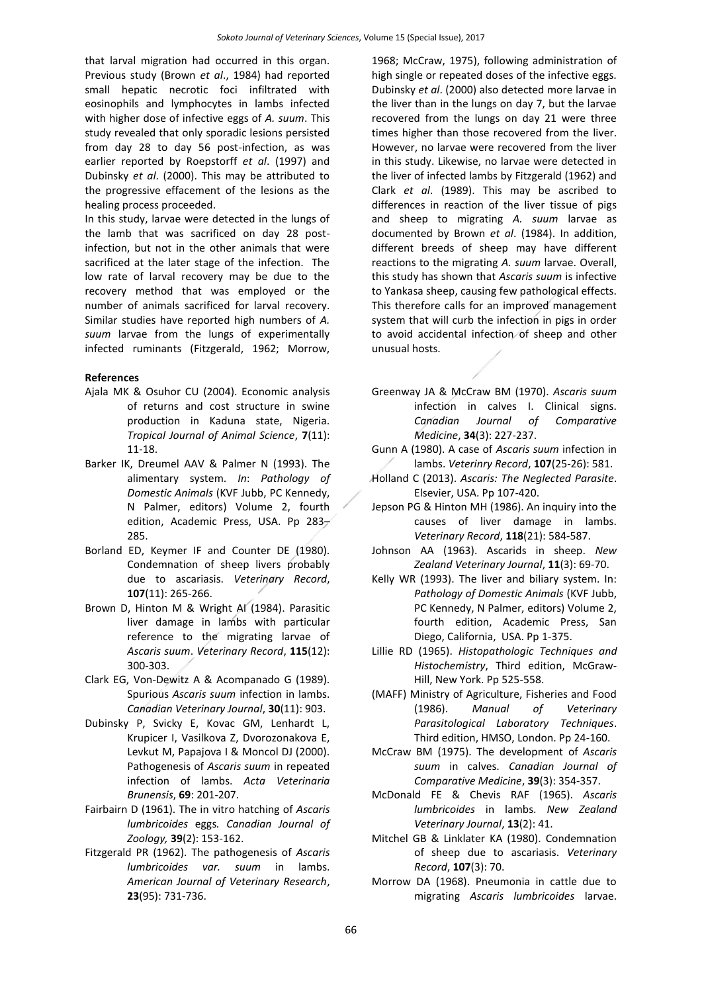that larval migration had occurred in this organ. Previous study (Brown *et al*., 1984) had reported small hepatic necrotic foci infiltrated with eosinophils and lymphocytes in lambs infected with higher dose of infective eggs of *A. suum*. This study revealed that only sporadic lesions persisted from day 28 to day 56 post-infection, as was earlier reported by Roepstorff *et al*. (1997) and Dubinsky *et al*. (2000). This may be attributed to the progressive effacement of the lesions as the healing process proceeded.

In this study, larvae were detected in the lungs of the lamb that was sacrificed on day 28 postinfection, but not in the other animals that were sacrificed at the later stage of the infection. The low rate of larval recovery may be due to the recovery method that was employed or the number of animals sacrificed for larval recovery. Similar studies have reported high numbers of *A. suum* larvae from the lungs of experimentally infected ruminants (Fitzgerald, 1962; Morrow,

# **References**

- Ajala MK & Osuhor CU (2004). Economic analysis of returns and cost structure in swine production in Kaduna state, Nigeria. *Tropical Journal of Animal Science*, **7**(11): 11-18.
- Barker IK, Dreumel AAV & Palmer N (1993). The alimentary system. *In*: *Pathology of Domestic Animals* (KVF Jubb, PC Kennedy, N Palmer, editors) Volume 2, fourth edition, Academic Press, USA. Pp 283 $\rightarrow$ 285.
- Borland ED, Keymer IF and Counter DE (1980). Condemnation of sheep livers probably due to ascariasis. *Veterinary Record*, **107**(11): 265-266.
- Brown D, Hinton M & Wright AI (1984). Parasitic liver damage in lambs with particular reference to the migrating larvae of *Ascaris suum*. *Veterinary Record*, **115**(12): 300-303.
- Clark EG, Von-Dewitz A & Acompanado G (1989). Spurious *Ascaris suum* infection in lambs. *Canadian Veterinary Journal*, **30**(11): 903.
- Dubinsky P, Svicky E, Kovac GM, Lenhardt L, Krupicer I, Vasilkova Z, Dvorozonakova E, Levkut M, Papajova I & Moncol DJ (2000). Pathogenesis of *Ascaris suum* in repeated infection of lambs. *Acta Veterinaria Brunensis*, **69**: 201-207.
- Fairbairn D (1961). The in vitro hatching of *Ascaris lumbricoides* eggs*. Canadian Journal of Zoology,* **39**(2): 153-162.
- Fitzgerald PR (1962). The pathogenesis of *Ascaris lumbricoides var. suum* in lambs. *American Journal of Veterinary Research*, **23**(95): 731-736.

1968; McCraw, 1975), following administration of high single or repeated doses of the infective eggs. Dubinsky *et al*. (2000) also detected more larvae in the liver than in the lungs on day 7, but the larvae recovered from the lungs on day 21 were three times higher than those recovered from the liver. However, no larvae were recovered from the liver in this study. Likewise, no larvae were detected in the liver of infected lambs by Fitzgerald (1962) and Clark *et al*. (1989). This may be ascribed to differences in reaction of the liver tissue of pigs and sheep to migrating *A. suum* larvae as documented by Brown *et al*. (1984). In addition, different breeds of sheep may have different reactions to the migrating *A. suum* larvae. Overall, this study has shown that *Ascaris suum* is infective to Yankasa sheep, causing few pathological effects. This therefore calls for an improved management system that will curb the infection in pigs in order to avoid accidental infection of sheep and other unusual hosts.

- Greenway JA & McCraw BM (1970). *Ascaris suum* infection in calves I. Clinical signs. *Canadian Journal of Comparative Medicine*, **34**(3): 227-237.
- Gunn A (1980). A case of *Ascaris suum* infection in lambs. *Veterinry Record*, **107**(25-26): 581.
- Holland C (2013). *Ascaris: The Neglected Parasite*. Elsevier, USA. Pp 107-420.
- Jepson PG & Hinton MH (1986). An inquiry into the causes of liver damage in lambs. *Veterinary Record*, **118**(21): 584-587.
- Johnson AA (1963). Ascarids in sheep. *New Zealand Veterinary Journal*, **11**(3): 69-70.
- Kelly WR (1993). The liver and biliary system. In: *Pathology of Domestic Animals* (KVF Jubb, PC Kennedy, N Palmer, editors) Volume 2, fourth edition, Academic Press, San Diego, California, USA. Pp 1-375.
- Lillie RD (1965). *Histopathologic Techniques and Histochemistry*, Third edition, McGraw-Hill, New York. Pp 525-558.
- (MAFF) Ministry of Agriculture, Fisheries and Food (1986). *Manual of Veterinary Parasitological Laboratory Techniques*. Third edition, HMSO, London. Pp 24-160.
- McCraw BM (1975). The development of *Ascaris suum* in calves. *Canadian Journal of Comparative Medicine*, **39**(3): 354-357.
- McDonald FE & Chevis RAF (1965). *Ascaris lumbricoides* in lambs. *New Zealand Veterinary Journal*, **13**(2): 41.
- Mitchel GB & Linklater KA (1980). Condemnation of sheep due to ascariasis. *Veterinary Record*, **107**(3): 70.
- Morrow DA (1968). Pneumonia in cattle due to migrating *Ascaris lumbricoides* larvae.